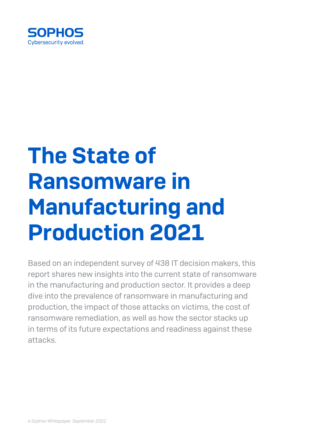

# The State of Ransomware in Manufacturing and Production 2021

Based on an independent survey of 438 IT decision makers, this report shares new insights into the current state of ransomware in the manufacturing and production sector. It provides a deep dive into the prevalence of ransomware in manufacturing and production, the impact of those attacks on victims, the cost of ransomware remediation, as well as how the sector stacks up in terms of its future expectations and readiness against these attacks.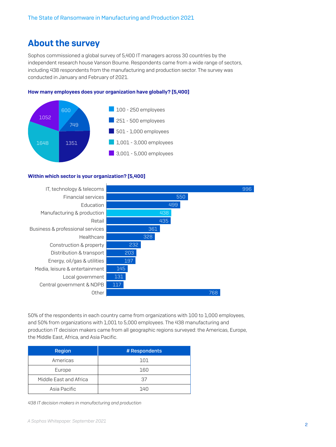# About the survey

Sophos commissioned a global survey of 5,400 IT managers across 30 countries by the independent research house Vanson Bourne. Respondents came from a wide range of sectors, including 438 respondents from the manufacturing and production sector. The survey was conducted in January and February of 2021.

#### How many employees does your organization have globally? [5,400]



#### Within which sector is your organization? [5,400]



50% of the respondents in each country came from organizations with 100 to 1,000 employees, and 50% from organizations with 1,001 to 5,000 employees. The 438 manufacturing and production IT decision makers came from all geographic regions surveyed: the Americas, Europe, the Middle East, Africa, and Asia Pacific.

| <b>Region</b>          | # Respondents |
|------------------------|---------------|
| Americas               | 101           |
| Europe                 | 160           |
| Middle East and Africa | 37            |
| Asia Pacific           | 140           |

*438 IT decision makers in manufacturing and production*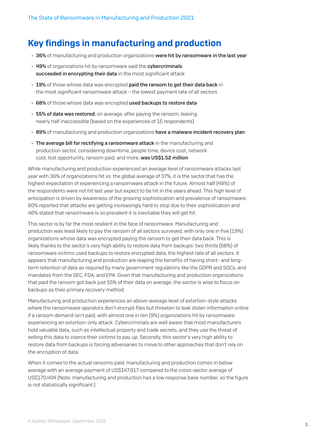# Key findings in manufacturing and production

- $\rightarrow$  36% of manufacturing and production organizations were hit by ransomware in the last year
- ▸ 49% of organizations hit by ransomware said the cybercriminals succeeded in encrypting their data in the most significant attack
- $\rightarrow$  19% of those whose data was encrypted paid the ransom to get their data back in the most significant ransomware attack – the lowest payment rate of all sectors
- ▶ 68% of those whose data was encrypted used backups to restore data
- $\rightarrow$  55% of data was restored, on average, after paying the ransom, leaving nearly half inaccessible (based on the experiences of 15 respondents)
- $\rightarrow$  89% of manufacturing and production organizations have a malware incident recovery plan
- $\rightarrow$  The average bill for rectifying a ransomware attack in the manufacturing and production sector, considering downtime, people time, device cost, network cost, lost opportunity, ransom paid, and more, was US\$1.52 million

While manufacturing and production experienced an average level of ransomware attacks last year with 36% of organizations hit vs. the global average of 37%, it is the sector that has the highest expectation of experiencing a ransomware attack in the future. Almost half (49%) of the respondents were not hit last year but expect to be hit in the years ahead. This high level of anticipation is driven by awareness of the growing sophistication and prevalence of ransomware: 60% reported that attacks are getting increasingly hard to stop due to their sophistication and 46% stated that ransomware is so prevalent it is inevitable they will get hit.

This sector is by far the most resilient in the face of ransomware. Manufacturing and production was least likely to pay the ransom of all sectors surveyed, with only one in five (19%) organizations whose data was encrypted paying the ransom to get their data back. This is likely thanks to the sector's very high ability to restore data from backups: two thirds (68%) of ransomware victims used backups to restore encrypted data, the highest rate of all sectors. It appears that manufacturing and production are reaping the benefits of having short- and longterm retention of data as required by many government regulations like the GDPR and SOCs, and mandates from the SEC, FDA, and EPA. Given that manufacturing and production organizations that paid the ransom got back just 55% of their data on average, the sector is wise to focus on backups as their primary recovery method.

Manufacturing and production experiences an above-average level of extortion-style attacks where the ransomware operators don't encrypt files but threaten to leak stolen information online if a ransom demand isn't paid, with almost one in ten (9%) organizations hit by ransomware experiencing an extortion-only attack. Cybercriminals are well aware that most manufacturers hold valuable data, such as intellectual property and trade secrets, and they use the threat of selling this data to coerce their victims to pay up. Secondly, this sector's very high ability to restore data from backups is forcing adversaries to move to other approaches that don't rely on the encryption of data.

When it comes to the actual ransoms paid, manufacturing and production comes in below average with an average payment of US\$147,917 compared to the cross-sector average of US\$170,404 (Note: manufacturing and production has a low response base number, so the figure is not statistically significant.)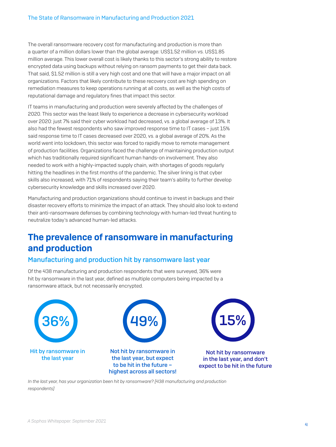The overall ransomware recovery cost for manufacturing and production is more than a quarter of a million dollars lower than the global average: US\$1.52 million vs. US\$1.85 million average. This lower overall cost is likely thanks to this sector's strong ability to restore encrypted data using backups without relying on ransom payments to get their data back. That said, \$1.52 million is still a very high cost and one that will have a major impact on all organizations. Factors that likely contribute to these recovery cost are high spending on remediation measures to keep operations running at all costs, as well as the high costs of reputational damage and regulatory fines that impact this sector.

IT teams in manufacturing and production were severely affected by the challenges of 2020. This sector was the least likely to experience a decrease in cybersecurity workload over 2020: just 7% said their cyber workload had decreased, vs. a global average of 13%. It also had the fewest respondents who saw improved response time to IT cases – just 15% said response time to IT cases decreased over 2020, vs. a global average of 20%. As the world went into lockdown, this sector was forced to rapidly move to remote management of production facilities. Organizations faced the challenge of maintaining production output which has traditionally required significant human hands-on involvement. They also needed to work with a highly-impacted supply chain, with shortages of goods regularly hitting the headlines in the first months of the pandemic. The silver lining is that cyber skills also increased, with 71% of respondents saying their team's ability to further develop cybersecurity knowledge and skills increased over 2020.

Manufacturing and production organizations should continue to invest in backups and their disaster recovery efforts to minimize the impact of an attack. They should also look to extend their anti-ransomware defenses by combining technology with human-led threat hunting to neutralize today's advanced human-led attacks.

# The prevalence of ransomware in manufacturing and production

#### Manufacturing and production hit by ransomware last year

Of the 438 manufacturing and production respondents that were surveyed, 36% were hit by ransomware in the last year, defined as multiple computers being impacted by a ransomware attack, but not necessarily encrypted.



*In the last year, has your organization been hit by ransomware? [438 manufacturing and production respondents]*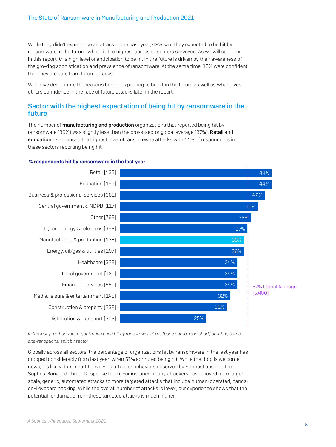While they didn't experience an attack in the past year, 49% said they expected to be hit by ransomware in the future, which is the highest across all sectors surveyed. As we will see later in this report, this high level of anticipation to be hit in the future is driven by their awareness of the growing sophistication and prevalence of ransomware. At the same time, 15% were confident that they are safe from future attacks.

We'll dive deeper into the reasons behind expecting to be hit in the future as well as what gives others confidence in the face of future attacks later in the report.

#### Sector with the highest expectation of being hit by ransomware in the future

The number of **manufacturing and production** organizations that reported being hit by ransomware (36%) was slightly less than the cross-sector global average (37%). Retail and education experienced the highest level of ransomware attacks with 44% of respondents in these sectors reporting being hit.

#### % respondents hit by ransomware in the last year



*In the last year, has your organization been hit by ransomware? Yes [base numbers in chart] omitting some answer options, split by sector*

Globally across all sectors, the percentage of organizations hit by ransomware in the last year has dropped considerably from last year, when 51% admitted being hit. While the drop is welcome news, it's likely due in part to evolving attacker behaviors observed by SophosLabs and the Sophos Managed Threat Response team. For instance, many attackers have moved from larger scale, generic, automated attacks to more targeted attacks that include human-operated, handson-keyboard hacking. While the overall number of attacks is lower, our experience shows that the potential for damage from these targeted attacks is much higher.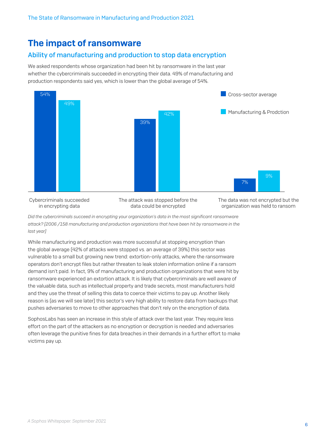# The impact of ransomware

#### Ability of manufacturing and production to stop data encryption

We asked respondents whose organization had been hit by ransomware in the last year whether the cybercriminals succeeded in encrypting their data. 49% of manufacturing and production respondents said yes, which is lower than the global average of 54%.



Cybercriminals succeeded in encrypting data

The attack was stopped before the data could be encrypted

The data was not encrypted but the organization was held to ransom

*Did the cybercriminals succeed in encrypting your organization's data in the most significant ransomware attack? [2006 /158 manufacturing and production organizations that have been hit by ransomware in the last year]*

While manufacturing and production was more successful at stopping encryption than the global average (42% of attacks were stopped vs. an average of 39%) this sector was vulnerable to a small but growing new trend: extortion-only attacks, where the ransomware operators don't encrypt files but rather threaten to leak stolen information online if a ransom demand isn't paid. In fact, 9% of manufacturing and production organizations that were hit by ransomware experienced an extortion attack. It is likely that cybercriminals are well aware of the valuable data, such as intellectual property and trade secrets, most manufacturers hold and they use the threat of selling this data to coerce their victims to pay up. Another likely reason is (as we will see later) this sector's very high ability to restore data from backups that pushes adversaries to move to other approaches that don't rely on the encryption of data.

SophosLabs has seen an increase in this style of attack over the last year. They require less effort on the part of the attackers as no encryption or decryption is needed and adversaries often leverage the punitive fines for data breaches in their demands in a further effort to make victims pay up.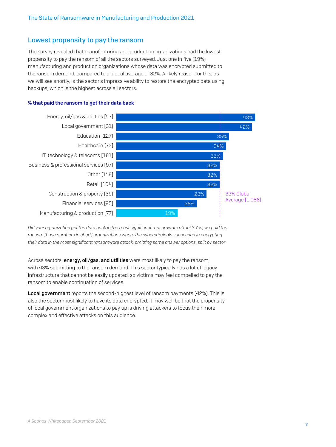#### Lowest propensity to pay the ransom

The survey revealed that manufacturing and production organizations had the lowest propensity to pay the ransom of all the sectors surveyed. Just one in five (19%) manufacturing and production organizations whose data was encrypted submitted to the ransom demand, compared to a global average of 32%. A likely reason for this, as we will see shortly, is the sector's impressive ability to restore the encrypted data using backups, which is the highest across all sectors.

#### % that paid the ransom to get their data back



*Did your organization get the data back in the most significant ransomware attack? Yes, we paid the ransom [base numbers in chart] organizations where the cybercriminals succeeded in encrypting their data in the most significant ransomware attack, omitting some answer options, split by sector*

Across sectors, energy, oil/gas, and utilities were most likely to pay the ransom, with 43% submitting to the ransom demand. This sector typically has a lot of legacy infrastructure that cannot be easily updated, so victims may feel compelled to pay the ransom to enable continuation of services.

Local government reports the second-highest level of ransom payments (42%). This is also the sector most likely to have its data encrypted. It may well be that the propensity of local government organizations to pay up is driving attackers to focus their more complex and effective attacks on this audience.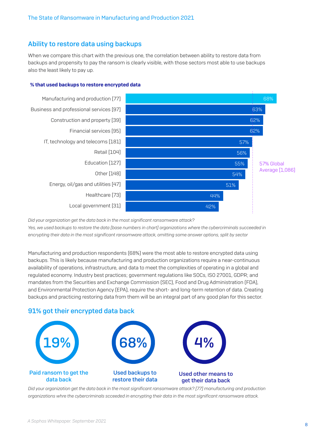#### Ability to restore data using backups

When we compare this chart with the previous one, the correlation between ability to restore data from backups and propensity to pay the ransom is clearly visible, with those sectors most able to use backups also the least likely to pay up.

#### % that used backups to restore encrypted data



*Did your organization get the data back in the most significant ransomware attack? Yes, we used backups to restore the data [base numbers in chart] organizations where the cybercriminals succeeded in encrypting their data in the most significant ransomware attack, omitting some answer options, split by sector*

Manufacturing and production respondents (68%) were the most able to restore encrypted data using backups. This is likely because manufacturing and production organizations require a near-continuous availability of operations, infrastructure, and data to meet the complexities of operating in a global and regulated economy. Industry best practices; government regulations like SOCs, ISO 27001, GDPR; and mandates from the Securities and Exchange Commission (SEC), Food and Drug Administration (FDA), and Environmental Protection Agency (EPA), require the short- and long-term retention of data. Creating backups and practicing restoring data from them will be an integral part of any good plan for this sector.

#### 91% got their encrypted data back



*Did your organization get the data back in the most significant ransomware attack? [77] manufacturing and production organizations whre the cybercriminals scceeded in encrypting their data in the most significant ransomware attack.*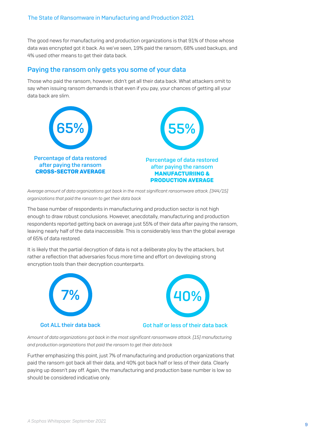The good news for manufacturing and production organizations is that 91% of those whose data was encrypted got it back. As we've seen, 19% paid the ransom, 68% used backups, and 4% used other means to get their data back.

#### Paying the ransom only gets you some of your data

Those who paid the ransom, however, didn't get all their data back. What attackers omit to say when issuing ransom demands is that even if you pay, your chances of getting all your data back are slim.



*Average amount of data organizations got back in the most significant ransomware attack. [344/15] organizations that paid the ransom to get their data back*

The base number of respondents in manufacturing and production sector is not high enough to draw robust conclusions. However, anecdotally, manufacturing and production respondents reported getting back on average just 55% of their data after paying the ransom, leaving nearly half of the data inaccessible. This is considerably less than the global average of 65% of data restored.

It is likely that the partial decryption of data is not a deliberate ploy by the attackers, but rather a reflection that adversaries focus more time and effort on developing strong encryption tools than their decryption counterparts.





#### Got ALL their data back Got half or less of their data back

*Amount of data organizations got back in the most significant ransomware attack. [15] manufacturing and production organizations that paid the ransom to get their data back*

Further emphasizing this point, just 7% of manufacturing and production organizations that paid the ransom got back all their data, and 40% got back half or less of their data. Clearly paying up doesn't pay off. Again, the manufacturing and production base number is low so should be considered indicative only.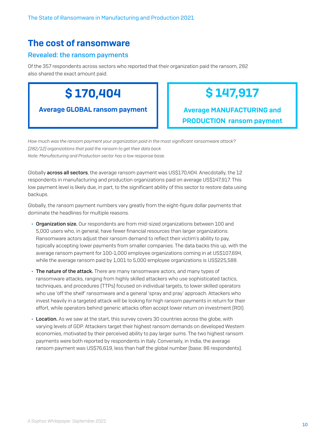# The cost of ransomware

#### Revealed: the ransom payments

Of the 357 respondents across sectors who reported that their organization paid the ransom, 282 also shared the exact amount paid.

\$ 170,404

Average GLOBAL ransom payment

# \$ 147,917

Average MANUFACTURING and PRODUCTION ransom payment

*How much was the ransom payment your organization paid in the most significant ransomware attack? [282/12] organizations that paid the ransom to get their data back Note: Manufacturing and Production sector has a low response base.*

Globally **across all sectors**, the average ransom payment was US\$170,404. Anecdotally, the 12 respondents in manufacturing and production organizations paid on average US\$147,917. This low payment level is likely due, in part, to the significant ability of this sector to restore data using backups.

Globally, the ransom payment numbers vary greatly from the eight-figure dollar payments that dominate the headlines for multiple reasons.

- ▶ Organization size. Our respondents are from mid-sized organizations between 100 and 5,000 users who, in general, have fewer financial resources than larger organizations. Ransomware actors adjust their ransom demand to reflect their victim's ability to pay, typically accepting lower payments from smaller companies. The data backs this up, with the average ransom payment for 100-1,000 employee organizations coming in at US\$107,694, while the average ransom paid by 1,001 to 5,000 employee organizations is US\$225,588.
- $\rightarrow$  The nature of the attack. There are many ransomware actors, and many types of ransomware attacks, ranging from highly skilled attackers who use sophisticated tactics, techniques, and procedures (TTPs) focused on individual targets, to lower skilled operators who use 'off the shelf' ransomware and a general 'spray and pray' approach. Attackers who invest heavily in a targeted attack will be looking for high ransom payments in return for their effort, while operators behind generic attacks often accept lower return on investment (ROI).
- $\rightarrow$  Location. As we saw at the start, this survey covers 30 countries across the globe, with varying levels of GDP. Attackers target their highest ransom demands on developed Western economies, motivated by their perceived ability to pay larger sums. The two highest ransom payments were both reported by respondents in Italy. Conversely, in India, the average ransom payment was US\$76,619, less than half the global number (base: 86 respondents).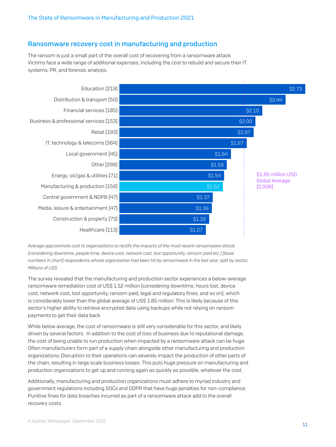#### Ransomware recovery cost in manufacturing and production

The ransom is just a small part of the overall cost of recovering from a ransomware attack. Victims face a wide range of additional expenses, including the cost to rebuild and secure their IT systems, PR, and forensic analysis.



*Average approximate cost to organizations to rectify the impacts of the most recent ransomware attack (considering downtime, people time, device cost, network cost, lost opportunity, ransom paid etc.) [base numbers in chart] respondents whose organization had been hit by ransomware in the last year, split by sector, Millions of US\$*

The survey revealed that the manufacturing and production sector experiences a below-average ransomware remediation cost of US\$ 1.52 million (considering downtime, hours lost, device cost, network cost, lost opportunity, ransom paid, legal and regulatory fines, and so on), which is considerably lower than the global average of US\$ 1.85 million. This is likely because of this sector's higher ability to retrieve encrypted data using backups while not relying on ransom payments to get their data back.

While below average, the cost of ransomware is still very considerable for this sector, and likely driven by several factors. In addition to the cost of loss of business due to reputational damage, the cost of being unable to run production when impacted by a ransomware attack can be huge. Often manufacturers form part of a supply chain alongside other manufacturing and production organizations. Disruption to their operations can severely impact the production of other parts of the chain, resulting in large scale business losses. This puts huge pressure on manufacturing and production organizations to get up and running again as quickly as possible, whatever the cost.

Additionally, manufacturing and production organizations must adhere to myriad industry and government regulations including SOCs and GDPR that have huge penalties for non-compliance. Punitive fines for data breaches incurred as part of a ransomware attack add to the overall recovery costs.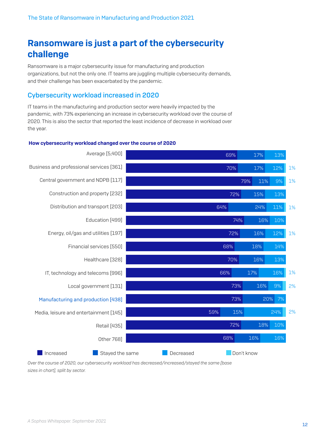# Ransomware is just a part of the cybersecurity challenge

Ransomware is a major cybersecurity issue for manufacturing and production organizations, but not the only one. IT teams are juggling multiple cybersecurity demands, and their challenge has been exacerbated by the pandemic.

#### Cybersecurity workload increased in 2020

IT teams in the manufacturing and production sector were heavily impacted by the pandemic, with 73% experiencing an increase in cybersecurity workload over the course of 2020. This is also the sector that reported the least incidence of decrease in workload over the year.

#### How cybersecurity workload changed over the course of 2020



*Over the course of 2020, our cybersecurity workload has decreased/increased/stayed the same [base sizes in chart], split by sector.*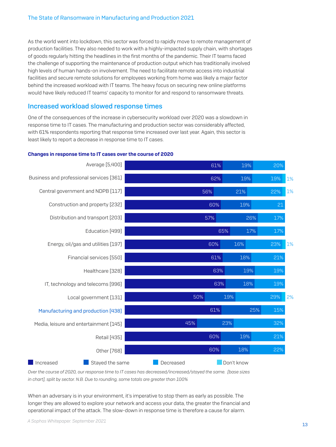As the world went into lockdown, this sector was forced to rapidly move to remote management of production facilities. They also needed to work with a highly-impacted supply chain, with shortages of goods regularly hitting the headlines in the first months of the pandemic. Their IT teams faced the challenge of supporting the maintenance of production output which has traditionally involved high levels of human hands-on involvement. The need to facilitate remote access into industrial facilities and secure remote solutions for employees working from home was likely a major factor behind the increased workload with IT teams. The heavy focus on securing new online platforms would have likely reduced IT teams' capacity to monitor for and respond to ransomware threats.

#### Increased workload slowed response times

One of the consequences of the increase in cybersecurity workload over 2020 was a slowdown in response time to IT cases. The manufacturing and production sector was considerably affected, with 61% respondents reporting that response time increased over last year. Again, this sector is least likely to report a decrease in response time to IT cases.

#### Changes in response time to IT cases over the course of 2020



*Over the course of 2020, our response time to IT cases has decreased/increased/stayed the same. [base sizes in chart], split by sector. N.B. Due to rounding, some totals are greater than 100%*

When an adversary is in your environment, it's imperative to stop them as early as possible. The longer they are allowed to explore your network and access your data, the greater the financial and operational impact of the attack. The slow-down in response time is therefore a cause for alarm.

<sup>13</sup> *A Sophos Whitepaper. September 2021*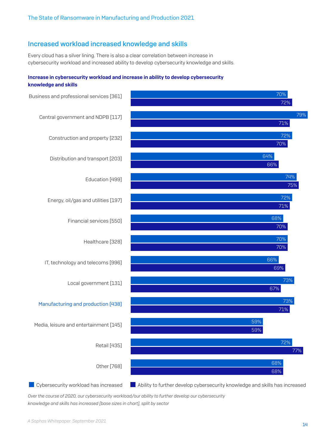#### Increased workload increased knowledge and skills

Every cloud has a silver lining. There is also a clear correlation between increase in cybersecurity workload and increased ability to develop cybersecurity knowledge and skills.

#### Increase in cybersecurity workload and increase in ability to develop cybersecurity knowledge and skills



Cybersecurity workload has increased Ability to further develop cybersecurity knowledge and skills has increased

*Over the course of 2020, our cybersecurity workload/our ability to further develop our cybersecurity knowledge and skills has increased [base sizes in chart], split by sector*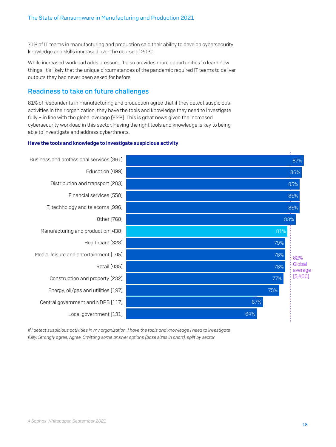71% of IT teams in manufacturing and production said their ability to develop cybersecurity knowledge and skills increased over the course of 2020.

While increased workload adds pressure, it also provides more opportunities to learn new things. It's likely that the unique circumstances of the pandemic required IT teams to deliver outputs they had never been asked for before.

#### Readiness to take on future challenges

81% of respondents in manufacturing and production agree that if they detect suspicious activities in their organization, they have the tools and knowledge they need to investigate fully – in line with the global average (82%). This is great news given the increased cybersecurity workload in this sector. Having the right tools and knowledge is key to being able to investigate and address cyberthreats.

#### Have the tools and knowledge to investigate suspicious activity



*If I detect suspicious activities in my organization, I have the tools and knowledge I need to investigate fully: Strongly agree, Agree. Omitting some answer options [base sizes in chart], split by sector*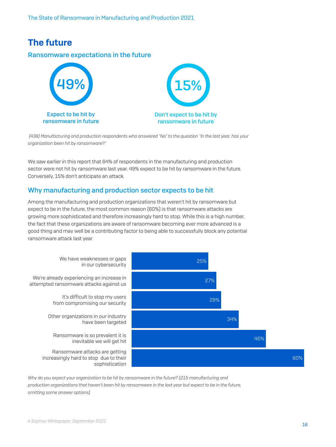# The future

#### Ransomware expectations in the future



 *[438] Manufacturing and production respondents who answered "No" to the question "In the last year, has your organization been hit by ransomware?"*

We saw earlier in this report that 64% of respondents in the manufacturing and production sector were not hit by ransomware last year. 49% expect to be hit by ransomware in the future. Conversely, 15% don't anticipate an attack.

#### Why manufacturing and production sector expects to be hit

Among the manufacturing and production organizations that weren't hit by ransomware but expect to be in the future, the most common reason (60%) is that ransomware attacks are growing more sophisticated and therefore increasingly hard to stop. While this is a high number, the fact that these organizations are aware of ransomware becoming ever more advanced is a good thing and may well be a contributing factor to being able to successfully block any potential ransomware attack last year.



Why do you expect your organization to be hit by ransomware in the future? [215 manufacturing and *production organizations that haven't been hit by ransomware in the last year but expect to be in the future, omitting some answer options]*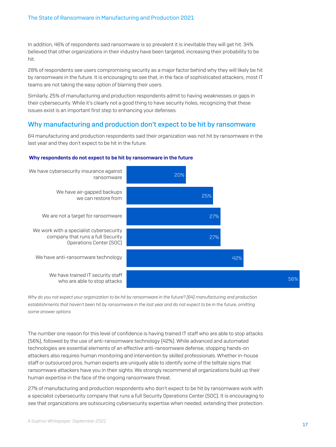In addition, 46% of respondents said ransomware is so prevalent it is inevitable they will get hit. 34% believed that other organizations in their industry have been targeted, increasing their probability to be hit.

28% of respondents see users compromising security as a major factor behind why they will likely be hit by ransomware in the future. It is encouraging to see that, in the face of sophisticated attackers, most IT teams are not taking the easy option of blaming their users.

Similarly, 25% of manufacturing and production respondents admit to having weaknesses or gaps in their cybersecurity. While it's clearly not a good thing to have security holes, recognizing that these issues exist is an important first step to enhancing your defenses.

#### Why manufacturing and production don't expect to be hit by ransomware

64 manufacturing and production respondents said their organization was not hit by ransomware in the last year and they don't expect to be hit in the future.

#### Why respondents do not expect to be hit by ransomware in the future



*Why do you not expect your organization to be hit by ransomware in the future? [64] manufacturing and production* establishments that haven't been hit by ransomware in the last year and do not expect to be in the future, omitting *some answer options*

The number one reason for this level of confidence is having trained IT staff who are able to stop attacks (56%), followed by the use of anti-ransomware technology (42%). While advanced and automated technologies are essential elements of an effective anti-ransomware defense, stopping hands-on attackers also requires human monitoring and intervention by skilled professionals. Whether in-house staff or outsourced pros, human experts are uniquely able to identify some of the telltale signs that ransomware attackers have you in their sights. We strongly recommend all organizations build up their human expertise in the face of the ongoing ransomware threat.

27% of manufacturing and production respondents who don't expect to be hit by ransomware work with a specialist cybersecurity company that runs a full Security Operations Center (SOC). It is encouraging to see that organizations are outsourcing cybersecurity expertise when needed, extending their protection.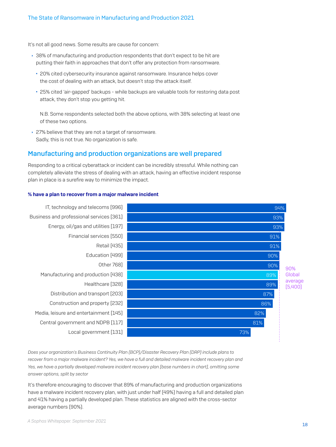It's not all good news. Some results are cause for concern:

- ▸ 38% of manufacturing and production respondents that don't expect to be hit are putting their faith in approaches that don't offer any protection from ransomware.
	- 20% cited cybersecurity insurance against ransomware. Insurance helps cover the cost of dealing with an attack, but doesn't stop the attack itself.
	- 25% cited 'air-gapped' backups while backups are valuable tools for restoring data post attack, they don't stop you getting hit.

N.B. Some respondents selected both the above options, with 38% selecting at least one of these two options.

 $\rightarrow$  27% believe that they are not a target of ransomware. Sadly, this is not true. No organization is safe.

#### Manufacturing and production organizations are well prepared

Responding to a critical cyberattack or incident can be incredibly stressful. While nothing can completely alleviate the stress of dealing with an attack, having an effective incident response plan in place is a surefire way to minimize the impact.

#### % have a plan to recover from a major malware incident





*Does your organization's Business Continuity Plan (BCP)/Disaster Recovery Plan (DRP) include plans to recover from a major malware incident? Yes, we have a full and detailed malware incident recovery plan and Yes, we have a partially developed malware incident recovery plan [base numbers in chart], omitting some answer options, split by sector*

It's therefore encouraging to discover that 89% of manufacturing and production organizations have a malware incident recovery plan, with just under half (49%) having a full and detailed plan and 41% having a partially developed plan. These statistics are aligned with the cross-sector average numbers (90%).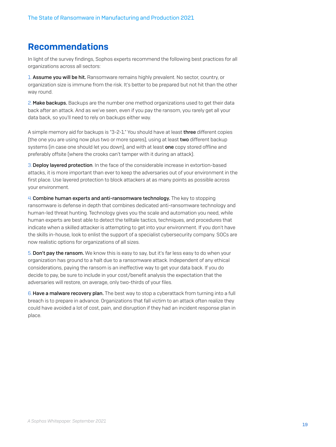# Recommendations

In light of the survey findings, Sophos experts recommend the following best practices for all organizations across all sectors:

1. Assume you will be hit. Ransomware remains highly prevalent. No sector, country, or organization size is immune from the risk. It's better to be prepared but not hit than the other way round.

2.Make backups. Backups are the number one method organizations used to get their data back after an attack. And as we've seen, even if you pay the ransom, you rarely get all your data back, so you'll need to rely on backups either way.

A simple memory aid for backups is "3-2-1." You should have at least three different copies (the one you are using now plus two or more spares), using at least two different backup systems (in case one should let you down), and with at least one copy stored offline and preferably offsite (where the crooks can't tamper with it during an attack).

3.Deploy layered protection. In the face of the considerable increase in extortion-based attacks, it is more important than ever to keep the adversaries out of your environment in the first place. Use layered protection to block attackers at as many points as possible across your environment.

4.Combine human experts and anti-ransomware technology. The key to stopping ransomware is defense in depth that combines dedicated anti-ransomware technology and human-led threat hunting. Technology gives you the scale and automation you need, while human experts are best able to detect the telltale tactics, techniques, and procedures that indicate when a skilled attacker is attempting to get into your environment. If you don't have the skills in-house, look to enlist the support of a specialist cybersecurity company. SOCs are now realistic options for organizations of all sizes.

5.Don't pay the ransom. We know this is easy to say, but it's far less easy to do when your organization has ground to a halt due to a ransomware attack. Independent of any ethical considerations, paying the ransom is an ineffective way to get your data back. If you do decide to pay, be sure to include in your cost/benefit analysis the expectation that the adversaries will restore, on average, only two-thirds of your files.

6.Have a malware recovery plan. The best way to stop a cyberattack from turning into a full breach is to prepare in advance. Organizations that fall victim to an attack often realize they could have avoided a lot of cost, pain, and disruption if they had an incident response plan in place.